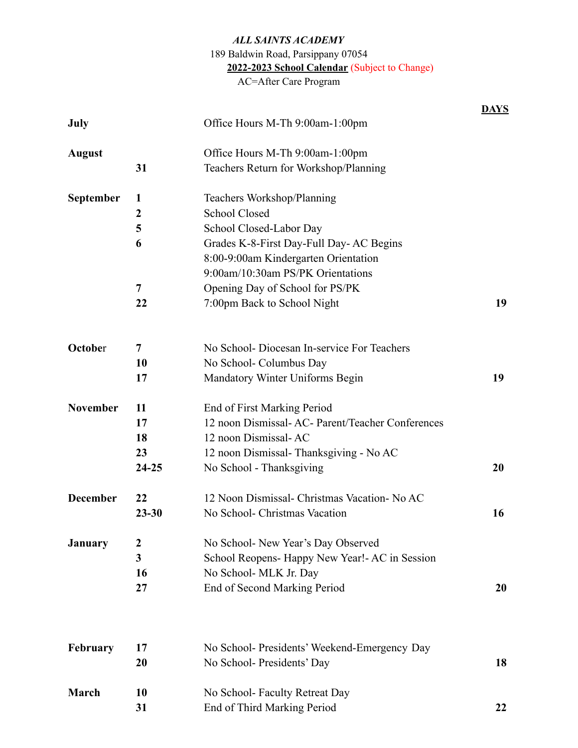## *ALL SAINTS ACADEMY* 189 Baldwin Road, Parsippany 07054 **2022-2023 School Calendar** (Subject to Change) AC=After Care Program

|                 |                  |                                                   | <b>DAYS</b> |
|-----------------|------------------|---------------------------------------------------|-------------|
| July            |                  | Office Hours M-Th 9:00am-1:00pm                   |             |
| <b>August</b>   |                  | Office Hours M-Th 9:00am-1:00pm                   |             |
|                 | 31               | Teachers Return for Workshop/Planning             |             |
| September       | 1                | Teachers Workshop/Planning                        |             |
|                 | $\boldsymbol{2}$ | <b>School Closed</b>                              |             |
|                 | 5                | School Closed-Labor Day                           |             |
|                 | 6                | Grades K-8-First Day-Full Day-AC Begins           |             |
|                 |                  | 8:00-9:00am Kindergarten Orientation              |             |
|                 |                  | 9:00am/10:30am PS/PK Orientations                 |             |
|                 | 7                | Opening Day of School for PS/PK                   |             |
|                 | 22               | 7:00pm Back to School Night                       | 19          |
| October         | 7                | No School-Diocesan In-service For Teachers        |             |
|                 | 10               | No School- Columbus Day                           |             |
|                 | 17               | Mandatory Winter Uniforms Begin                   | 19          |
| <b>November</b> | 11               | End of First Marking Period                       |             |
|                 | 17               | 12 noon Dismissal- AC- Parent/Teacher Conferences |             |
|                 | 18               | 12 noon Dismissal-AC                              |             |
|                 | 23               | 12 noon Dismissal-Thanksgiving - No AC            |             |
|                 | $24 - 25$        | No School - Thanksgiving                          | 20          |
| <b>December</b> | 22               | 12 Noon Dismissal- Christmas Vacation- No AC      |             |
|                 | $23 - 30$        | No School- Christmas Vacation                     | 16          |
| <b>January</b>  | $\boldsymbol{2}$ | No School- New Year's Day Observed                |             |
|                 | 3                | School Reopens- Happy New Year! - AC in Session   |             |
|                 | 16               | No School- MLK Jr. Day                            |             |
|                 | 27               | End of Second Marking Period                      | 20          |
| February        | 17               | No School- Presidents' Weekend-Emergency Day      |             |
|                 | 20               | No School- Presidents' Day                        | 18          |
| March           | 10               | No School-Faculty Retreat Day                     |             |
|                 | 31               | End of Third Marking Period                       | 22          |